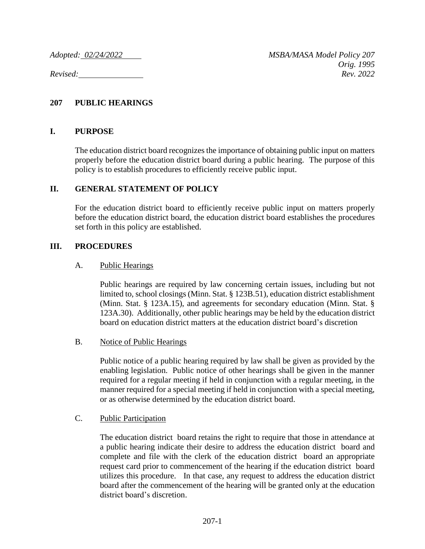## **207 PUBLIC HEARINGS**

### **I. PURPOSE**

The education district board recognizes the importance of obtaining public input on matters properly before the education district board during a public hearing. The purpose of this policy is to establish procedures to efficiently receive public input.

## **II. GENERAL STATEMENT OF POLICY**

For the education district board to efficiently receive public input on matters properly before the education district board, the education district board establishes the procedures set forth in this policy are established.

## **III. PROCEDURES**

#### A. Public Hearings

Public hearings are required by law concerning certain issues, including but not limited to, school closings (Minn. Stat. § 123B.51), education district establishment (Minn. Stat. § 123A.15), and agreements for secondary education (Minn. Stat. § 123A.30). Additionally, other public hearings may be held by the education district board on education district matters at the education district board's discretion

#### B. Notice of Public Hearings

Public notice of a public hearing required by law shall be given as provided by the enabling legislation. Public notice of other hearings shall be given in the manner required for a regular meeting if held in conjunction with a regular meeting, in the manner required for a special meeting if held in conjunction with a special meeting, or as otherwise determined by the education district board.

#### C. Public Participation

The education district board retains the right to require that those in attendance at a public hearing indicate their desire to address the education district board and complete and file with the clerk of the education district board an appropriate request card prior to commencement of the hearing if the education district board utilizes this procedure. In that case, any request to address the education district board after the commencement of the hearing will be granted only at the education district board's discretion.